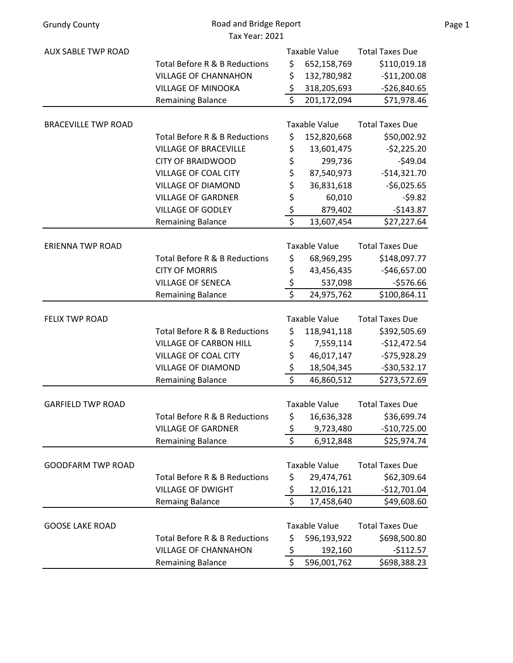| <b>Grundy County</b>       | Road and Bridge Report        |                         |                      |                        |  |  |
|----------------------------|-------------------------------|-------------------------|----------------------|------------------------|--|--|
|                            | <b>Tax Year: 2021</b>         |                         |                      |                        |  |  |
| <b>AUX SABLE TWP ROAD</b>  |                               |                         | <b>Taxable Value</b> | <b>Total Taxes Due</b> |  |  |
|                            | Total Before R & B Reductions | \$                      | 652,158,769          | \$110,019.18           |  |  |
|                            | <b>VILLAGE OF CHANNAHON</b>   | \$                      | 132,780,982          | $-$11,200.08$          |  |  |
|                            | <b>VILLAGE OF MINOOKA</b>     | \$                      | 318,205,693          | $-$26,840.65$          |  |  |
|                            | <b>Remaining Balance</b>      | \$                      | 201,172,094          | \$71,978.46            |  |  |
|                            |                               |                         |                      |                        |  |  |
| <b>BRACEVILLE TWP ROAD</b> |                               | <b>Taxable Value</b>    |                      | <b>Total Taxes Due</b> |  |  |
|                            | Total Before R & B Reductions | \$                      | 152,820,668          | \$50,002.92            |  |  |
|                            | <b>VILLAGE OF BRACEVILLE</b>  | \$                      | 13,601,475           | $-52,225.20$           |  |  |
|                            | <b>CITY OF BRAIDWOOD</b>      | \$                      | 299,736              | $-549.04$              |  |  |
|                            | <b>VILLAGE OF COAL CITY</b>   |                         | 87,540,973           | $-$14,321.70$          |  |  |
|                            | <b>VILLAGE OF DIAMOND</b>     |                         | 36,831,618           | $-$6,025.65$           |  |  |
|                            | <b>VILLAGE OF GARDNER</b>     |                         | 60,010               | $-59.82$               |  |  |
|                            | <b>VILLAGE OF GODLEY</b>      | 555                     | 879,402              | $-$143.87$             |  |  |
|                            | <b>Remaining Balance</b>      |                         | 13,607,454           | \$27,227.64            |  |  |
|                            |                               |                         |                      |                        |  |  |
| <b>ERIENNA TWP ROAD</b>    |                               |                         | <b>Taxable Value</b> | <b>Total Taxes Due</b> |  |  |
|                            | Total Before R & B Reductions | \$                      | 68,969,295           | \$148,097.77           |  |  |
|                            | <b>CITY OF MORRIS</b>         | \$                      | 43,456,435           | $-$46,657.00$          |  |  |
|                            | <b>VILLAGE OF SENECA</b>      | $rac{5}{5}$             | 537,098              | $-$576.66$             |  |  |
|                            | <b>Remaining Balance</b>      |                         | 24,975,762           | \$100,864.11           |  |  |
|                            |                               |                         |                      |                        |  |  |
| <b>FELIX TWP ROAD</b>      |                               |                         | <b>Taxable Value</b> | <b>Total Taxes Due</b> |  |  |
|                            | Total Before R & B Reductions | \$                      | 118,941,118          | \$392,505.69           |  |  |
|                            | <b>VILLAGE OF CARBON HILL</b> | \$                      | 7,559,114            | $-$12,472.54$          |  |  |
|                            | <b>VILLAGE OF COAL CITY</b>   |                         | 46,017,147           | $-575,928.29$          |  |  |
|                            | <b>VILLAGE OF DIAMOND</b>     | $\frac{5}{5}$           | 18,504,345           | $-$ \$30,532.17        |  |  |
|                            | <b>Remaining Balance</b>      |                         | 46,860,512           | \$273,572.69           |  |  |
| <b>GARFIELD TWP ROAD</b>   |                               | <b>Taxable Value</b>    |                      | <b>Total Taxes Due</b> |  |  |
|                            | Total Before R & B Reductions | \$                      | 16,636,328           | \$36,699.74            |  |  |
|                            | <b>VILLAGE OF GARDNER</b>     |                         | 9,723,480            | $-$10,725.00$          |  |  |
|                            | <b>Remaining Balance</b>      | $\frac{5}{5}$           | 6,912,848            | \$25,974.74            |  |  |
|                            |                               |                         |                      |                        |  |  |
| <b>GOODFARM TWP ROAD</b>   |                               |                         | <b>Taxable Value</b> | <b>Total Taxes Due</b> |  |  |
|                            | Total Before R & B Reductions | \$                      | 29,474,761           | \$62,309.64            |  |  |
|                            | <b>VILLAGE OF DWIGHT</b>      | \$                      | 12,016,121           | $-$12,701.04$          |  |  |
|                            | Remaing Balance               | $\overline{\mathsf{s}}$ | 17,458,640           | \$49,608.60            |  |  |
|                            |                               |                         |                      |                        |  |  |
| <b>GOOSE LAKE ROAD</b>     |                               |                         | <b>Taxable Value</b> | <b>Total Taxes Due</b> |  |  |
|                            | Total Before R & B Reductions | \$                      | 596,193,922          | \$698,500.80           |  |  |
|                            | <b>VILLAGE OF CHANNAHON</b>   | \$                      | 192,160              | $-$112.57$             |  |  |
|                            | <b>Remaining Balance</b>      | \$                      | 596,001,762          | \$698,388.23           |  |  |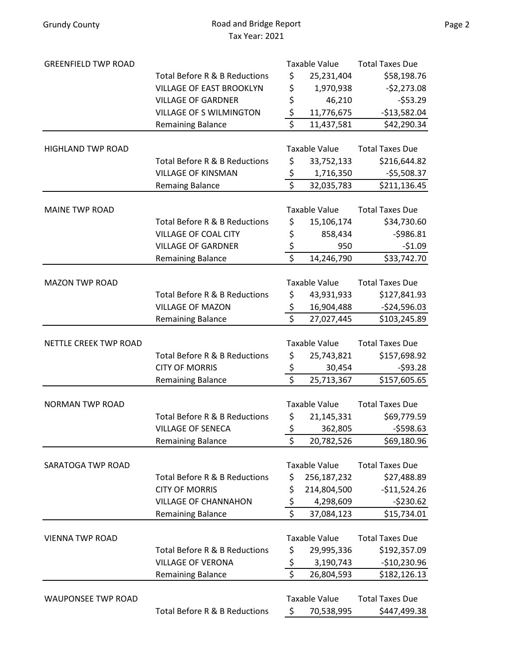| <b>GREENFIELD TWP ROAD</b> |                                |                         | Taxable Value        | <b>Total Taxes Due</b> |
|----------------------------|--------------------------------|-------------------------|----------------------|------------------------|
|                            | Total Before R & B Reductions  | \$                      | 25,231,404           | \$58,198.76            |
|                            | VILLAGE OF EAST BROOKLYN       | \$                      | 1,970,938            | $-52,273.08$           |
|                            | <b>VILLAGE OF GARDNER</b>      | \$                      | 46,210               | $-553.29$              |
|                            | <b>VILLAGE OF S WILMINGTON</b> | $rac{\xi}{\xi}$         | 11,776,675           | $-$13,582.04$          |
|                            | <b>Remaining Balance</b>       |                         | 11,437,581           | \$42,290.34            |
|                            |                                |                         |                      |                        |
| <b>HIGHLAND TWP ROAD</b>   |                                |                         | <b>Taxable Value</b> | <b>Total Taxes Due</b> |
|                            | Total Before R & B Reductions  | \$                      | 33,752,133           | \$216,644.82           |
|                            | <b>VILLAGE OF KINSMAN</b>      | $\frac{1}{2}$           | 1,716,350            | $-$5,508.37$           |
|                            | <b>Remaing Balance</b>         | $\overline{\mathsf{s}}$ | 32,035,783           | \$211,136.45           |
|                            |                                |                         |                      |                        |
| <b>MAINE TWP ROAD</b>      |                                | <b>Taxable Value</b>    |                      | <b>Total Taxes Due</b> |
|                            | Total Before R & B Reductions  | \$                      | 15,106,174           | \$34,730.60            |
|                            | <b>VILLAGE OF COAL CITY</b>    | \$                      | 858,434              | $-5986.81$             |
|                            | <b>VILLAGE OF GARDNER</b>      | $rac{5}{5}$             | 950                  | $-51.09$               |
|                            | <b>Remaining Balance</b>       |                         | 14,246,790           | \$33,742.70            |
|                            |                                |                         |                      |                        |
| <b>MAZON TWP ROAD</b>      |                                | <b>Taxable Value</b>    |                      | <b>Total Taxes Due</b> |
|                            | Total Before R & B Reductions  | \$                      | 43,931,933           | \$127,841.93           |
|                            | <b>VILLAGE OF MAZON</b>        | \$                      | 16,904,488           | $-524,596.03$          |
|                            | <b>Remaining Balance</b>       | $\overline{\mathsf{s}}$ | 27,027,445           | \$103,245.89           |
|                            |                                |                         |                      |                        |
| NETTLE CREEK TWP ROAD      |                                | <b>Taxable Value</b>    |                      | <b>Total Taxes Due</b> |
|                            | Total Before R & B Reductions  | \$                      | 25,743,821           | \$157,698.92           |
|                            | <b>CITY OF MORRIS</b>          | \$                      | 30,454               | $-593.28$              |
|                            | <b>Remaining Balance</b>       | $\overline{\mathsf{s}}$ | 25,713,367           | \$157,605.65           |
|                            |                                |                         |                      |                        |
| <b>NORMAN TWP ROAD</b>     |                                |                         | <b>Taxable Value</b> | <b>Total Taxes Due</b> |
|                            | Total Before R & B Reductions  | \$                      | 21,145,331           | \$69,779.59            |
|                            | <b>VILLAGE OF SENECA</b>       | \$                      | 362,805              | $-5598.63$             |
|                            | <b>Remaining Balance</b>       | \$                      | 20,782,526           | \$69,180.96            |
|                            |                                |                         |                      |                        |
| SARATOGA TWP ROAD          |                                |                         | <b>Taxable Value</b> | <b>Total Taxes Due</b> |
|                            | Total Before R & B Reductions  | \$                      | 256,187,232          | \$27,488.89            |
|                            | <b>CITY OF MORRIS</b>          | \$                      | 214,804,500          | $-$11,524.26$          |
|                            | <b>VILLAGE OF CHANNAHON</b>    | \$                      | 4,298,609            | $-5230.62$             |
|                            | <b>Remaining Balance</b>       | $\overline{\mathsf{s}}$ | 37,084,123           | \$15,734.01            |
|                            |                                |                         |                      |                        |
| <b>VIENNA TWP ROAD</b>     |                                |                         | <b>Taxable Value</b> | <b>Total Taxes Due</b> |
|                            | Total Before R & B Reductions  | \$                      | 29,995,336           | \$192,357.09           |
|                            | <b>VILLAGE OF VERONA</b>       | \$                      | 3,190,743            | $-$10,230.96$          |
|                            | <b>Remaining Balance</b>       | Ś                       | 26,804,593           | \$182,126.13           |
|                            |                                |                         |                      |                        |
| WAUPONSEE TWP ROAD         |                                |                         | <b>Taxable Value</b> | <b>Total Taxes Due</b> |
|                            | Total Before R & B Reductions  | \$                      | 70,538,995           | \$447,499.38           |